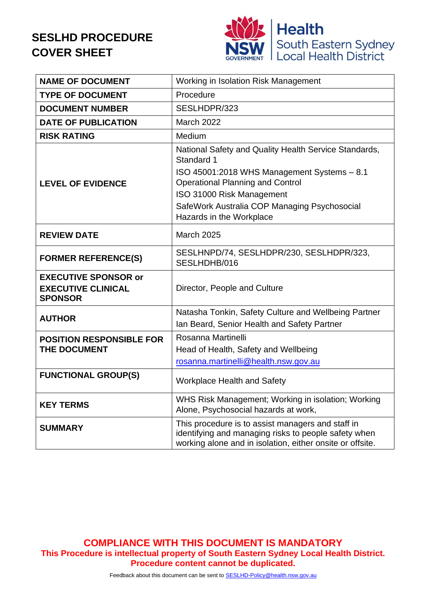# **SESLHD PROCEDURE COVER SHEET**



| <b>NAME OF DOCUMENT</b>                                                    | Working in Isolation Risk Management                                                                                                                                                                                                                                   |  |  |  |
|----------------------------------------------------------------------------|------------------------------------------------------------------------------------------------------------------------------------------------------------------------------------------------------------------------------------------------------------------------|--|--|--|
| <b>TYPE OF DOCUMENT</b>                                                    | Procedure                                                                                                                                                                                                                                                              |  |  |  |
| <b>DOCUMENT NUMBER</b>                                                     | SESLHDPR/323                                                                                                                                                                                                                                                           |  |  |  |
| <b>DATE OF PUBLICATION</b>                                                 | <b>March 2022</b>                                                                                                                                                                                                                                                      |  |  |  |
| <b>RISK RATING</b>                                                         | Medium                                                                                                                                                                                                                                                                 |  |  |  |
| <b>LEVEL OF EVIDENCE</b>                                                   | National Safety and Quality Health Service Standards,<br>Standard 1<br>ISO 45001:2018 WHS Management Systems - 8.1<br><b>Operational Planning and Control</b><br>ISO 31000 Risk Management<br>SafeWork Australia COP Managing Psychosocial<br>Hazards in the Workplace |  |  |  |
| <b>REVIEW DATE</b>                                                         | <b>March 2025</b>                                                                                                                                                                                                                                                      |  |  |  |
| <b>FORMER REFERENCE(S)</b>                                                 | SESLHNPD/74, SESLHDPR/230, SESLHDPR/323,<br>SESLHDHB/016                                                                                                                                                                                                               |  |  |  |
| <b>EXECUTIVE SPONSOR or</b><br><b>EXECUTIVE CLINICAL</b><br><b>SPONSOR</b> | Director, People and Culture                                                                                                                                                                                                                                           |  |  |  |
| <b>AUTHOR</b>                                                              | Natasha Tonkin, Safety Culture and Wellbeing Partner<br>Ian Beard, Senior Health and Safety Partner                                                                                                                                                                    |  |  |  |
| <b>POSITION RESPONSIBLE FOR</b><br><b>THE DOCUMENT</b>                     | Rosanna Martinelli<br>Head of Health, Safety and Wellbeing<br>rosanna.martinelli@health.nsw.gov.au                                                                                                                                                                     |  |  |  |
| <b>FUNCTIONAL GROUP(S)</b>                                                 | <b>Workplace Health and Safety</b>                                                                                                                                                                                                                                     |  |  |  |
| <b>KEY TERMS</b>                                                           | WHS Risk Management; Working in isolation; Working<br>Alone, Psychosocial hazards at work,                                                                                                                                                                             |  |  |  |
| <b>SUMMARY</b>                                                             | This procedure is to assist managers and staff in<br>identifying and managing risks to people safety when<br>working alone and in isolation, either onsite or offsite.                                                                                                 |  |  |  |

**COMPLIANCE WITH THIS DOCUMENT IS MANDATORY This Procedure is intellectual property of South Eastern Sydney Local Health District. Procedure content cannot be duplicated.**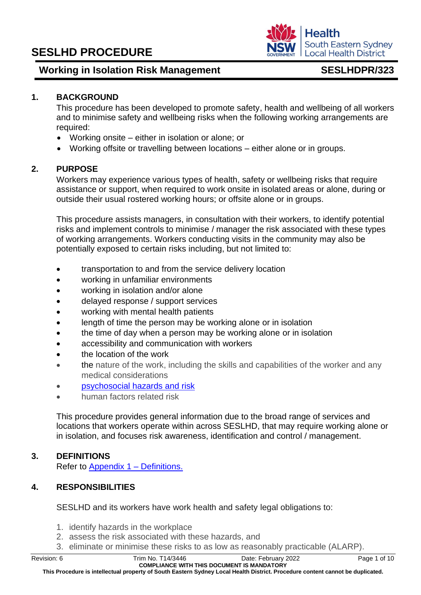# **Working in Isolation Risk Management** SESLHDPR/323

South Eastern Sydney **Local Health District** 

**Health** 

### **1. BACKGROUND**

This procedure has been developed to promote safety, health and wellbeing of all workers and to minimise safety and wellbeing risks when the following working arrangements are required:

- Working onsite either in isolation or alone; or
- Working offsite or travelling between locations either alone or in groups.

## **2. PURPOSE**

Workers may experience various types of health, safety or wellbeing risks that require assistance or support, when required to work onsite in isolated areas or alone, during or outside their usual rostered working hours; or offsite alone or in groups.

This procedure assists managers, in consultation with their workers, to identify potential risks and implement controls to minimise / manager the risk associated with these types of working arrangements. Workers conducting visits in the community may also be potentially exposed to certain risks including, but not limited to:

- transportation to and from the service delivery location
- working in unfamiliar environments
- working in isolation and/or alone
- delayed response / support services
- working with mental health patients
- length of time the person may be working alone or in isolation
- the time of day when a person may be working alone or in isolation
- accessibility and communication with workers
- the location of the work
- the nature of the work, including the skills and capabilities of the worker and any medical considerations
- [psychosocial hazards](https://www.safework.nsw.gov.au/resource-library/list-of-all-codes-of-practice/codes-of-practice/managing-psychosocial-hazards-at-work) and risk
- human factors related risk

This procedure provides general information due to the broad range of services and locations that workers operate within across SESLHD, that may require working alone or in isolation, and focuses risk awareness, identification and control / management.

# **3. DEFINITIONS**

Refer to [Appendix 1 –](#page-10-0) Definitions.

### **4. RESPONSIBILITIES**

SESLHD and its workers have work health and safety legal obligations to:

- 1. identify hazards in the workplace
- 2. assess the risk associated with these hazards, and
- 3. eliminate or minimise these risks to as low as reasonably practicable (ALARP).

**This Procedure is intellectual property of South Eastern Sydney Local Health District. Procedure content cannot be duplicated.**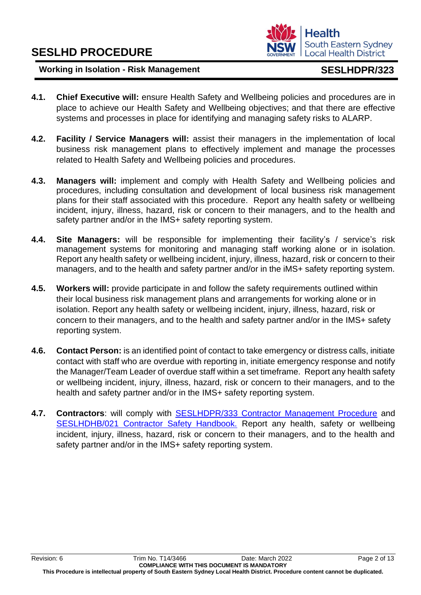

- **4.1. Chief Executive will:** ensure Health Safety and Wellbeing policies and procedures are in place to achieve our Health Safety and Wellbeing objectives; and that there are effective systems and processes in place for identifying and managing safety risks to ALARP.
- **4.2. Facility / Service Managers will:** assist their managers in the implementation of local business risk management plans to effectively implement and manage the processes related to Health Safety and Wellbeing policies and procedures.
- **4.3. Managers will:** implement and comply with Health Safety and Wellbeing policies and procedures, including consultation and development of local business risk management plans for their staff associated with this procedure. Report any health safety or wellbeing incident, injury, illness, hazard, risk or concern to their managers, and to the health and safety partner and/or in the IMS+ safety reporting system.
- **4.4. Site Managers:** will be responsible for implementing their facility's / service's risk management systems for monitoring and managing staff working alone or in isolation. Report any health safety or wellbeing incident, injury, illness, hazard, risk or concern to their managers, and to the health and safety partner and/or in the iMS+ safety reporting system.
- **4.5. Workers will:** provide participate in and follow the safety requirements outlined within their local business risk management plans and arrangements for working alone or in isolation. Report any health safety or wellbeing incident, injury, illness, hazard, risk or concern to their managers, and to the health and safety partner and/or in the IMS+ safety reporting system.
- **4.6. Contact Person:** is an identified point of contact to take emergency or distress calls, initiate contact with staff who are overdue with reporting in, initiate emergency response and notify the Manager/Team Leader of overdue staff within a set timeframe. Report any health safety or wellbeing incident, injury, illness, hazard, risk or concern to their managers, and to the health and safety partner and/or in the IMS+ safety reporting system.
- **4.7. Contractors**: will comply with [SESLHDPR/333 Contractor Management Procedure](https://www.seslhd.health.nsw.gov.au/policies-and-publications/functional-group/104) and [SESLHDHB/021 Contractor Safety Handbook.](https://www.seslhd.health.nsw.gov.au/policies-and-publications/functional-group/104) Report any health, safety or wellbeing incident, injury, illness, hazard, risk or concern to their managers, and to the health and safety partner and/or in the IMS+ safety reporting system.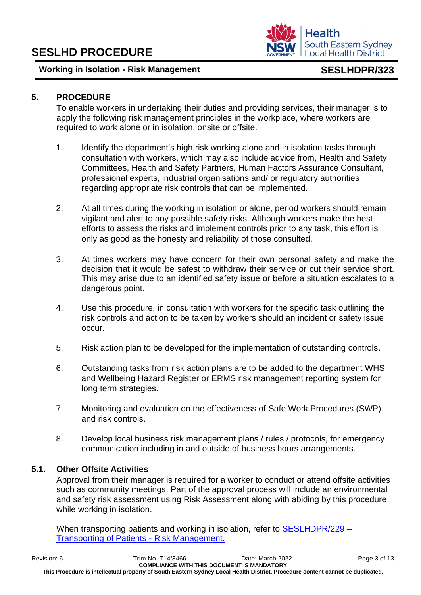# **5. PROCEDURE**

To enable workers in undertaking their duties and providing services, their manager is to apply the following risk management principles in the workplace, where workers are required to work alone or in isolation, onsite or offsite.

- 1. Identify the department's high risk working alone and in isolation tasks through consultation with workers, which may also include advice from, Health and Safety Committees, Health and Safety Partners, Human Factors Assurance Consultant, professional experts, industrial organisations and/ or regulatory authorities regarding appropriate risk controls that can be implemented.
- 2. At all times during the working in isolation or alone, period workers should remain vigilant and alert to any possible safety risks. Although workers make the best efforts to assess the risks and implement controls prior to any task, this effort is only as good as the honesty and reliability of those consulted.
- 3. At times workers may have concern for their own personal safety and make the decision that it would be safest to withdraw their service or cut their service short. This may arise due to an identified safety issue or before a situation escalates to a dangerous point.
- 4. Use this procedure, in consultation with workers for the specific task outlining the risk controls and action to be taken by workers should an incident or safety issue occur.
- 5. Risk action plan to be developed for the implementation of outstanding controls.
- 6. Outstanding tasks from risk action plans are to be added to the department WHS and Wellbein[g](http://seslhnweb/Forms_and_Templates/Forms/default.asp#Workers_Compensation) Hazard Registe[r](http://seslhnweb/Forms_and_Templates/Forms/default.asp#Workers_Compensation) or ERMS risk management reporting system for long term strategies.
- 7. Monitoring and evaluation on the effectiveness of Safe Work Procedures (SWP) and risk controls.
- 8. Develop local business risk management plans / rules / protocols, for emergency communication including in and outside of business hours arrangements.

# **5.1. Other Offsite Activities**

Approval from their manager is required for a worker to conduct or attend offsite activities such as community meetings. Part of the approval process will include an environmental and safety risk assessment using Risk Assessment along with abiding by this procedure while working in isolation.

When transporting patients and working in isolation, refer to [SESLHDPR/229 –](https://www.seslhd.health.nsw.gov.au/policies-and-publications/functional-group/104) [Transporting of Patients -](https://www.seslhd.health.nsw.gov.au/policies-and-publications/functional-group/104) Risk Management.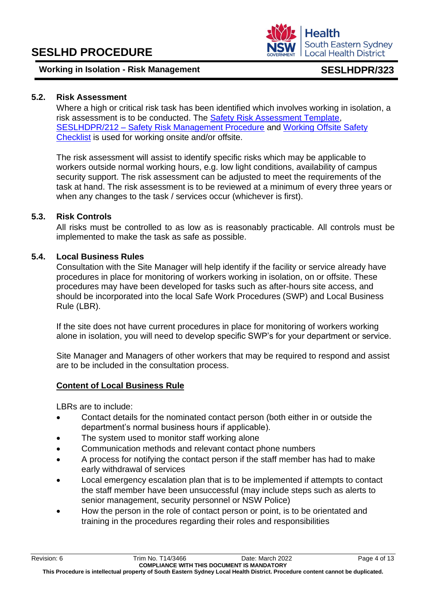

## **5.2. Risk Assessment**

Where a high or critical risk task has been identified which involves working in isolation, a risk assessment is to be conducted. The [Safety Risk Assessment Template,](http://seslhdweb.seslhd.health.nsw.gov.au/Forms_and_Templates/Forms/default.asp#Workers_Compensation) SESLHDPR/212 – [Safety Risk Management Procedure](https://www.seslhd.health.nsw.gov.au/policies-and-publications/functional-group/104) and [Working Offsite Safety](http://seslhdweb.seslhd.health.nsw.gov.au/Forms_and_Templates/Forms/default.asp)  [Checklist](http://seslhdweb.seslhd.health.nsw.gov.au/Forms_and_Templates/Forms/default.asp) is used for working onsite and/or offsite.

The risk assessment will assist to identify specific risks which may be applicable to workers outside normal working hours, e.g. low light conditions, availability of campus security support. The risk assessment can be adjusted to meet the requirements of the task at hand. The risk assessment is to be reviewed at a minimum of every three years or when any changes to the task / services occur (whichever is first).

### **5.3. Risk Controls**

All risks must be controlled to as low as is reasonably practicable. All controls must be implemented to make the task as safe as possible.

### **5.4. Local Business Rules**

Consultation with the Site Manager will help identify if the facility or service already have procedures in place for monitoring of workers working in isolation, on or offsite. These procedures may have been developed for tasks such as after-hours site access, and should be incorporated into the local Safe Work Procedures (SWP) and Local Business Rule (LBR).

If the site does not have current procedures in place for monitoring of workers working alone in isolation, you will need to develop specific SWP's for your department or service.

Site Manager and Managers of other workers that may be required to respond and assist are to be included in the consultation process.

# **Content of Local Business Rule**

LBRs are to include:

- Contact details for the nominated contact person (both either in or outside the department's normal business hours if applicable).
- The system used to monitor staff working alone
- Communication methods and relevant contact phone numbers
- A process for notifying the contact person if the staff member has had to make early withdrawal of services
- Local emergency escalation plan that is to be implemented if attempts to contact the staff member have been unsuccessful (may include steps such as alerts to senior management, security personnel or NSW Police)
- How the person in the role of contact person or point, is to be orientated and training in the procedures regarding their roles and responsibilities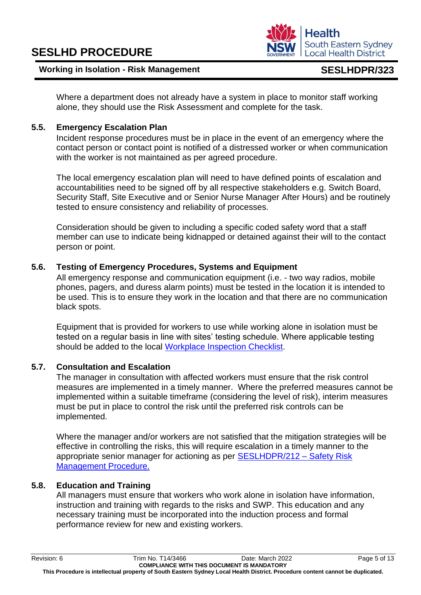

Where a department does not already have a system in place to monitor staff working alone, they should use the Risk Assessment and complete for the task.

### **5.5. Emergency Escalation Plan**

Incident response procedures must be in place in the event of an emergency where the contact person or contact point is notified of a distressed worker or when communication with the worker is not maintained as per agreed procedure.

The local emergency escalation plan will need to have defined points of escalation and accountabilities need to be signed off by all respective stakeholders e.g. Switch Board, Security Staff, Site Executive and or Senior Nurse Manager After Hours) and be routinely tested to ensure consistency and reliability of processes.

Consideration should be given to including a specific coded safety word that a staff member can use to indicate being kidnapped or detained against their will to the contact person or point.

### **5.6. Testing of Emergency Procedures, Systems and Equipment**

All emergency response and communication equipment (i.e. - two way radios, mobile phones, pagers, and duress alarm points) must be tested in the location it is intended to be used. This is to ensure they work in the location and that there are no communication black spots.

Equipment that is provided for workers to use while working alone in isolation must be tested on a regular basis in line with sites' testing schedule. Where applicable testing should be added to the local [Workplace Inspection Checklist](http://seslhdweb.seslhd.health.nsw.gov.au/Forms_and_Templates/Forms/default.asp#Workers_Compensation)[.](http://seslhnweb/Forms_and_Templates/Forms/default.asp#Workers_Compensation)

### **5.7. Consultation and Escalation**

The manager in consultation with affected workers must ensure that the risk control measures are implemented in a timely manner. Where the preferred measures cannot be implemented within a suitable timeframe (considering the level of risk), interim measures must be put in place to control the risk until the preferred risk controls can be implemented.

Where the manager and/or workers are not satisfied that the mitigation strategies will be effective in controlling the risks, this will require escalation in a timely manner to the appropriate senior manager for actioning as per [SESLHDPR/212 –](https://www.seslhd.health.nsw.gov.au/policies-and-publications/functional-group/104) Safety Risk [Management Procedure.](https://www.seslhd.health.nsw.gov.au/policies-and-publications/functional-group/104)

### **5.8. Education and Training**

All managers must ensure that workers who work alone in isolation have information, instruction and training with regards to the risks and SWP. This education and any necessary training must be incorporated into the induction process and formal performance review for new and existing workers.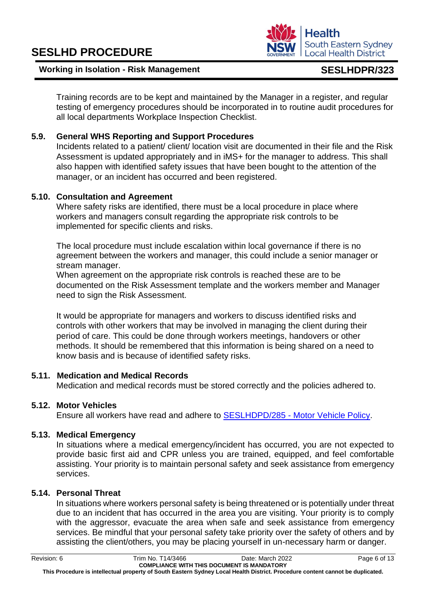#### **Working in Isolation - Risk Management SESLHDPR/323**

Training records are to be kept and maintained by the Manager in a register, and regular testing of emergency procedures should be incorporated in to routine audit procedures for all local departments Workplace Inspection [C](http://seslhnweb/Forms_and_Templates/Forms/default.asp#Workers_Compensation)hecklis[t.](http://seslhnweb/Forms_and_Templates/Forms/default.asp#Workers_Compensation) 

# **5.9. General WHS Reporting and Support Procedures**

Incidents related to a patient/ client/ location visit are documented in their file and the Risk Assessment is updated appropriately and in iMS+ for the manager to address. This shall also happen with identified safety issues that have been bought to the attention of the manager, or an incident has occurred and been registered.

# **5.10. Consultation and Agreement**

Where safety risks are identified, there must be a local procedure in place where workers and managers consult regarding the appropriate risk controls to be implemented for specific clients and risks.

The local procedure must include escalation within local governance if there is no agreement between the workers and manager, this could include a senior manager or stream manager.

When agreement on the appropriate risk controls is reached these are to be documented on the Risk Assessment template and the workers member and Manager need to sign the Risk Assessment.

It would be appropriate for managers and workers to discuss identified risks and controls with other workers that may be involved in managing the client during their period of care. This could be done through workers meetings, handovers or other methods. It should be remembered that this information is being shared on a need to know basis and is because of identified safety risks.

# **5.11. Medication and Medical Records**

Medication and medical records must be stored correctly and the policies adhered to.

# **5.12. Motor Vehicles**

Ensure all workers have read and adhere to SESLHDPD/285 - [Motor Vehicle Policy.](https://www.seslhd.health.nsw.gov.au/policies-and-publications/functional-group/104)

# **5.13. Medical Emergency**

In situations where a medical emergency/incident has occurred, you are not expected to provide basic first aid and CPR unless you are trained, equipped, and feel comfortable assisting. Your priority is to maintain personal safety and seek assistance from emergency services.

# **5.14. Personal Threat**

In situations where workers personal safety is being threatened or is potentially under threat due to an incident that has occurred in the area you are visiting. Your priority is to comply with the aggressor, evacuate the area when safe and seek assistance from emergency services. Be mindful that your personal safety take priority over the safety of others and by assisting the client/others, you may be placing yourself in un-necessary harm or danger.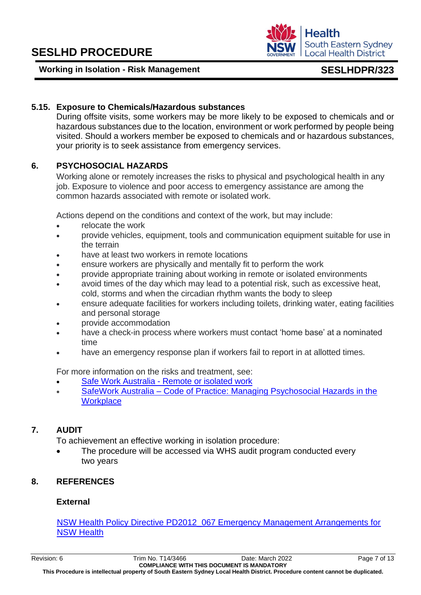#### Revision: 6 Trim No. T14/3466 Date: March 2022 Page 7 of 13

**COMPLIANCE WITH THIS DOCUMENT IS MANDATORY This Procedure is intellectual property of South Eastern Sydney Local Health District. Procedure content cannot be duplicated.**

# **5.15. Exposure to Chemicals/Hazardous substances**

During offsite visits, some workers may be more likely to be exposed to chemicals and or hazardous substances due to the location, environment or work performed by people being visited. Should a workers member be exposed to chemicals and or hazardous substances, your priority is to seek assistance from emergency services.

# **6. PSYCHOSOCIAL HAZARDS**

Working alone or remotely increases the risks to physical and psychological health in any job. Exposure to violence and poor access to emergency assistance are among the common hazards associated with remote or isolated work.

Actions depend on the conditions and context of the work, but may include:

- relocate the work
- provide vehicles, equipment, tools and communication equipment suitable for use in the terrain
- have at least two workers in remote locations
- ensure workers are physically and mentally fit to perform the work
- provide appropriate training about working in remote or isolated environments
- avoid times of the day which may lead to a potential risk, such as excessive heat, cold, storms and when the circadian rhythm wants the body to sleep
- ensure adequate facilities for workers including toilets, drinking water, eating facilities and personal storage
- provide accommodation
- have a check-in process where workers must contact 'home base' at a nominated time
- have an emergency response plan if workers fail to report in at allotted times.

For more information on the risks and treatment, see:

- Safe Work Australia [Remote or isolated work](https://www.safework.nsw.gov.au/hazards-a-z/remote-and-isolated-work#:~:text=When%20you%20work%20remotely%20or,to%20help%20with%20difficult%20tasks.&text=those%20who%20work%20from%20home.)
- SafeWork Australia Code of Practice: [Managing Psychosocial Hazards in the](https://www.safework.nsw.gov.au/resource-library/list-of-all-codes-of-practice/codes-of-practice/managing-psychosocial-hazards-at-work)  **[Workplace](https://www.safework.nsw.gov.au/resource-library/list-of-all-codes-of-practice/codes-of-practice/managing-psychosocial-hazards-at-work)**

# **7. AUDIT**

To achievement an effective working in isolation procedure:

The procedure will be accessed via WHS audit program conducted every two years

# **8. REFERENCES**

# **External**

[NSW Health Policy Directive PD2012\\_067 Emergency Management Arrangements for](https://www1.health.nsw.gov.au/pds/Pages/doc.aspx?dn=PD2012_067)  [NSW Health](https://www1.health.nsw.gov.au/pds/Pages/doc.aspx?dn=PD2012_067)

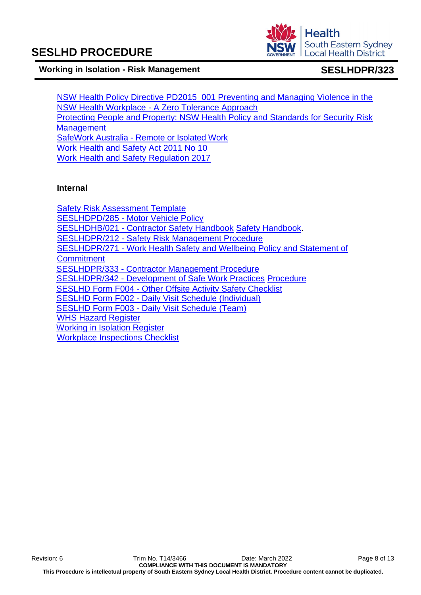**Health South Eastern Sydney Local Health District** 

#### **Working in Isolation - Risk Management SESLHDPR/323**

[NSW Health Policy Directive PD2015\\_001 Preventing and Managing Violence in the](https://www1.health.nsw.gov.au/pds/Pages/doc.aspx?dn=PD2015_001)  NSW Health Workplace - [A Zero Tolerance Approach](https://www1.health.nsw.gov.au/pds/Pages/doc.aspx?dn=PD2015_001) [Protecting People and Property: NSW Health Policy and Standards for Security Risk](https://www.health.nsw.gov.au/policies/manuals/Pages/protecting-people-property.aspx)  **[Management](https://www.health.nsw.gov.au/policies/manuals/Pages/protecting-people-property.aspx)** SafeWork Australia - Remote [or Isolated Work](https://www.safework.nsw.gov.au/hazards-a-z/remote-and-isolated-work#:~:text=When%20you%20work%20remotely%20or,to%20help%20with%20difficult%20tasks.&text=those%20who%20work%20from%20home.) [Work Health and Safety Act 2011 No 10](https://legislation.nsw.gov.au/view/html/inforce/current/act-2011-010) [Work Health and Safety Regulation 2017](https://www.legislation.nsw.gov.au/#/view/regulation/2017/404/full)

#### **Internal**

[Safety Risk Assessment Template](http://seslhdweb.seslhd.health.nsw.gov.au/Forms_and_Templates/Forms/default.asp#Workers_Compensation) SESLHDPD/285 - [Motor Vehicle Policy](https://www.seslhd.health.nsw.gov.au/policies-and-publications/functional-group/104) SESLHDHB/021 - [Contractor Safety Handbook](https://www.seslhd.health.nsw.gov.au/policies-and-publications/functional-group/104) [Safety Handbook.](https://www.seslhd.health.nsw.gov.au/policies-and-publications/functional-group/104) SESLHDPR/212 - [Safety Risk Management Procedure](https://www.seslhd.health.nsw.gov.au/policies-and-publications/functional-group/104) SESLHDPR/271 - [Work Health Safety](https://www.seslhd.health.nsw.gov.au/policies-and-publications/functional-group/104) and Wellbeing Policy and Statement of **Commitment** SESLHDPR/333 - [Contractor Management Procedure](https://www.seslhd.health.nsw.gov.au/policies-and-publications/functional-group/104) SESLHDPR/342 - [Development of Safe Work Practices](https://www.seslhd.health.nsw.gov.au/policies-and-publications/functional-group/104) [Procedure](https://www.seslhd.health.nsw.gov.au/policies-and-publications/functional-group/104) SESLHD Form F004 - [Other Offsite Activity Safety Checklist](http://seslhnweb/Forms_and_Templates/Forms/default.asp#Workers_Compensation) SESLHD Form F002 - [Daily Visit Schedule \(Individual\)](http://seslhnweb/Forms_and_Templates/Forms/default.asp#Workers_Compensation) SESLHD Form F003 - [Daily Visit Schedule \(Team\)](http://seslhnweb/Forms_and_Templates/Forms/default.asp#Workers_Compensation) [WHS Hazard Register](http://seslhnweb/Forms_and_Templates/Forms/default.asp#Workers_Compensation) [Working in Isolation Register](http://seslhdweb.seslhd.health.nsw.gov.au/Forms_and_Templates/Forms/default.asp) [Workplace Inspections Checklist](http://seslhnweb/Forms_and_Templates/Forms/default.asp#Workers_Compensation)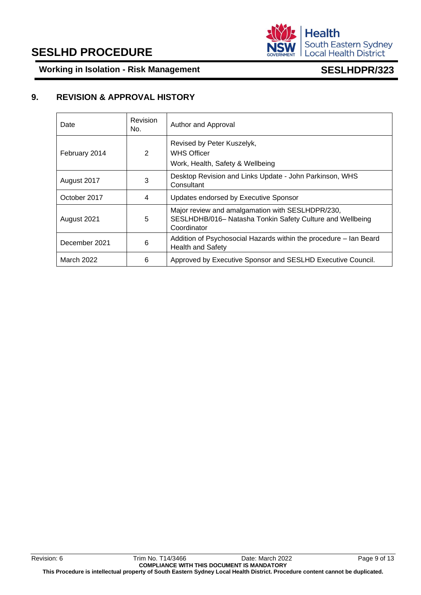

**Working in Isolation - Risk Management SESLHDPR/323**

### **9. REVISION & APPROVAL HISTORY**

| Date              | Revision<br>No. | Author and Approval                                                                                                          |
|-------------------|-----------------|------------------------------------------------------------------------------------------------------------------------------|
| February 2014     | 2               | Revised by Peter Kuszelyk,<br><b>WHS Officer</b><br>Work, Health, Safety & Wellbeing                                         |
| August 2017       | 3               | Desktop Revision and Links Update - John Parkinson, WHS<br>Consultant                                                        |
| October 2017      | 4               | Updates endorsed by Executive Sponsor                                                                                        |
| August 2021       | 5               | Major review and amalgamation with SESLHDPR/230,<br>SESLHDHB/016- Natasha Tonkin Safety Culture and Wellbeing<br>Coordinator |
| December 2021     | 6               | Addition of Psychosocial Hazards within the procedure - Ian Beard<br><b>Health and Safety</b>                                |
| <b>March 2022</b> | 6               | Approved by Executive Sponsor and SESLHD Executive Council.                                                                  |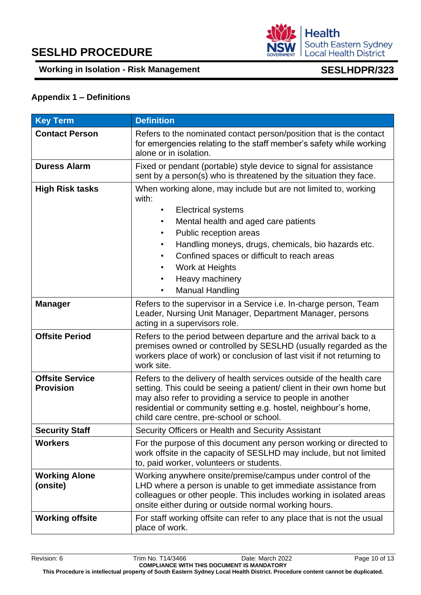

### <span id="page-10-0"></span>**Appendix 1 – Definitions**

| <b>Key Term</b>                            | <b>Definition</b>                                                                                                                                                                                                                                                                                                                                                 |  |  |  |
|--------------------------------------------|-------------------------------------------------------------------------------------------------------------------------------------------------------------------------------------------------------------------------------------------------------------------------------------------------------------------------------------------------------------------|--|--|--|
| <b>Contact Person</b>                      | Refers to the nominated contact person/position that is the contact<br>for emergencies relating to the staff member's safety while working<br>alone or in isolation.                                                                                                                                                                                              |  |  |  |
| <b>Duress Alarm</b>                        | Fixed or pendant (portable) style device to signal for assistance<br>sent by a person(s) who is threatened by the situation they face.                                                                                                                                                                                                                            |  |  |  |
| <b>High Risk tasks</b>                     | When working alone, may include but are not limited to, working<br>with:<br><b>Electrical systems</b><br>Mental health and aged care patients<br>Public reception areas<br>٠<br>Handling moneys, drugs, chemicals, bio hazards etc.<br>٠<br>Confined spaces or difficult to reach areas<br>Work at Heights<br>٠<br>Heavy machinery<br>٠<br><b>Manual Handling</b> |  |  |  |
| <b>Manager</b>                             | Refers to the supervisor in a Service i.e. In-charge person, Team<br>Leader, Nursing Unit Manager, Department Manager, persons<br>acting in a supervisors role.                                                                                                                                                                                                   |  |  |  |
| <b>Offsite Period</b>                      | Refers to the period between departure and the arrival back to a<br>premises owned or controlled by SESLHD (usually regarded as the<br>workers place of work) or conclusion of last visit if not returning to<br>work site.                                                                                                                                       |  |  |  |
| <b>Offsite Service</b><br><b>Provision</b> | Refers to the delivery of health services outside of the health care<br>setting. This could be seeing a patient/ client in their own home but<br>may also refer to providing a service to people in another<br>residential or community setting e.g. hostel, neighbour's home,<br>child care centre, pre-school or school.                                        |  |  |  |
| <b>Security Staff</b>                      | Security Officers or Health and Security Assistant                                                                                                                                                                                                                                                                                                                |  |  |  |
| <b>Workers</b>                             | For the purpose of this document any person working or directed to<br>work offsite in the capacity of SESLHD may include, but not limited<br>to, paid worker, volunteers or students.                                                                                                                                                                             |  |  |  |
| <b>Working Alone</b><br>(onsite)           | Working anywhere onsite/premise/campus under control of the<br>LHD where a person is unable to get immediate assistance from<br>colleagues or other people. This includes working in isolated areas<br>onsite either during or outside normal working hours.                                                                                                      |  |  |  |
| <b>Working offsite</b>                     | For staff working offsite can refer to any place that is not the usual<br>place of work.                                                                                                                                                                                                                                                                          |  |  |  |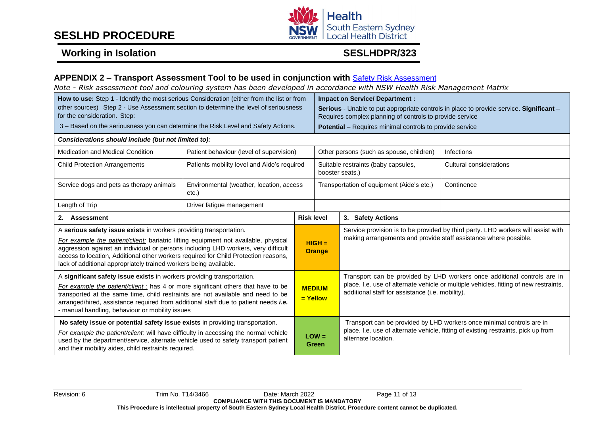

# **Working in Isolation SESLHDPR/323**

#### **APPENDIX 2 – Transport Assessment Tool to be used in conjunction with** [Safety Risk Assessment](http://seslhdweb.seslhd.health.nsw.gov.au/Forms_and_Templates/Forms/default.asp#Workers_Compensation)

*Note - Risk assessment tool and colouring system has been developed in accordance with NSW Health Risk Management Matrix* 

| How to use: Step 1 - Identify the most serious Consideration (either from the list or from<br>other sources) Step 2 - Use Assessment section to determine the level of seriousness<br>for the consideration. Step:<br>3 – Based on the seriousness you can determine the Risk Level and Safety Actions.                                                                                                    |                                                   |                           | <b>Impact on Service/ Department:</b><br>Serious - Unable to put appropriate controls in place to provide service. Significant -<br>Requires complex planning of controls to provide service<br><b>Potential</b> – Requires minimal controls to provide service |                                                                                                                                                                                                                       |                                                                                                                                                             |
|------------------------------------------------------------------------------------------------------------------------------------------------------------------------------------------------------------------------------------------------------------------------------------------------------------------------------------------------------------------------------------------------------------|---------------------------------------------------|---------------------------|-----------------------------------------------------------------------------------------------------------------------------------------------------------------------------------------------------------------------------------------------------------------|-----------------------------------------------------------------------------------------------------------------------------------------------------------------------------------------------------------------------|-------------------------------------------------------------------------------------------------------------------------------------------------------------|
| Considerations should include (but not limited to):                                                                                                                                                                                                                                                                                                                                                        |                                                   |                           |                                                                                                                                                                                                                                                                 |                                                                                                                                                                                                                       |                                                                                                                                                             |
| Medication and Medical Condition                                                                                                                                                                                                                                                                                                                                                                           | Patient behaviour (level of supervision)          |                           |                                                                                                                                                                                                                                                                 | Other persons (such as spouse, children)                                                                                                                                                                              | Infections                                                                                                                                                  |
| <b>Child Protection Arrangements</b>                                                                                                                                                                                                                                                                                                                                                                       | Patients mobility level and Aide's required       |                           | Suitable restraints (baby capsules,<br>booster seats.)                                                                                                                                                                                                          |                                                                                                                                                                                                                       | <b>Cultural considerations</b>                                                                                                                              |
| Service dogs and pets as therapy animals                                                                                                                                                                                                                                                                                                                                                                   | Environmental (weather, location, access<br>etc.) |                           | Transportation of equipment (Aide's etc.)                                                                                                                                                                                                                       |                                                                                                                                                                                                                       | Continence                                                                                                                                                  |
| Length of Trip                                                                                                                                                                                                                                                                                                                                                                                             | Driver fatigue management                         |                           |                                                                                                                                                                                                                                                                 |                                                                                                                                                                                                                       |                                                                                                                                                             |
| 2. Assessment                                                                                                                                                                                                                                                                                                                                                                                              |                                                   |                           | <b>Risk level</b><br>3. Safety Actions                                                                                                                                                                                                                          |                                                                                                                                                                                                                       |                                                                                                                                                             |
| A serious safety issue exists in workers providing transportation.<br>For example the patient/client: bariatric lifting equipment not available, physical<br>aggression against an individual or persons including LHD workers, very difficult<br>access to location, Additional other workers required for Child Protection reasons,<br>lack of additional appropriately trained workers being available. |                                                   | $HIGH =$<br><b>Orange</b> |                                                                                                                                                                                                                                                                 | Service provision is to be provided by third party. LHD workers will assist with<br>making arrangements and provide staff assistance where possible.                                                                  |                                                                                                                                                             |
| A significant safety issue exists in workers providing transportation.<br>For example the patient/client : has 4 or more significant others that have to be<br>transported at the same time, child restraints are not available and need to be<br>arranged/hired, assistance required from additional staff due to patient needs i.e.<br>- manual handling, behaviour or mobility issues                   |                                                   | $=$ Yellow                | <b>MEDIUM</b>                                                                                                                                                                                                                                                   | Transport can be provided by LHD workers once additional controls are in<br>place. I.e. use of alternate vehicle or multiple vehicles, fitting of new restraints,<br>additional staff for assistance (i.e. mobility). |                                                                                                                                                             |
| No safety issue or potential safety issue exists in providing transportation.<br>For example the patient/client: will have difficulty in accessing the normal vehicle<br>used by the department/service, alternate vehicle used to safety transport patient<br>and their mobility aides, child restraints required.                                                                                        |                                                   |                           | $LOW =$<br><b>Green</b>                                                                                                                                                                                                                                         | alternate location.                                                                                                                                                                                                   | Transport can be provided by LHD workers once minimal controls are in<br>place. I.e. use of alternate vehicle, fitting of existing restraints, pick up from |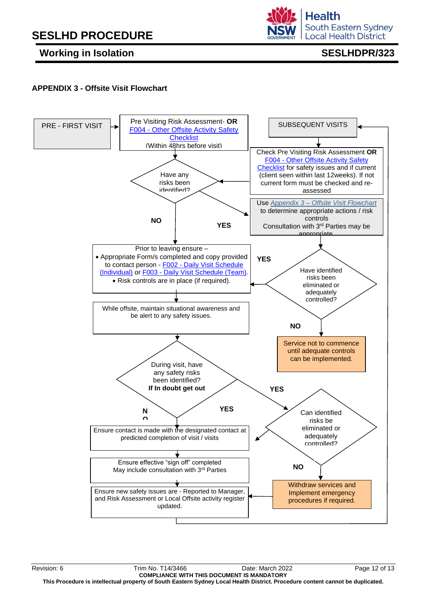**Working in Isolation SESLHDPR/323** 

**South Eastern Sydney Local Health District** 

**Health** 

## <span id="page-12-0"></span>**APPENDIX 3 - Offsite Visit Flowchart**